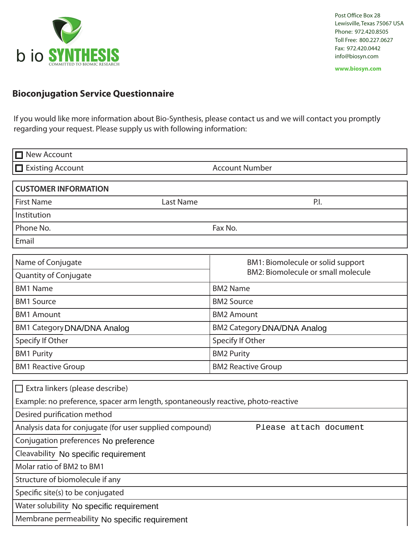

Post Office Box 28 Lewisville, Texas 75067 USA Phone: 972.420.8505 Toll Free: 800.227.0627 Fax: 972.420.0442 info@biosyn.com

**www.biosyn.com**

## **Bioconjugation Service Questionnaire**

If you would like more information about Bio-Synthesis, please contact us and we will contact you promptly regarding your request. Please supply us with following information:

| <b>New Account</b>                                                                                                   |                                           |
|----------------------------------------------------------------------------------------------------------------------|-------------------------------------------|
| $\Box$ Existing Account                                                                                              | <b>Account Number</b>                     |
| <b>CUSTOMER INFORMATION</b>                                                                                          |                                           |
| <b>Last Name</b><br><b>First Name</b>                                                                                | P.I.                                      |
| Institution                                                                                                          |                                           |
| Phone No.                                                                                                            | Fax No.                                   |
| Email                                                                                                                |                                           |
| Name of Conjugate                                                                                                    | BM1: Biomolecule or solid support         |
| Quantity of Conjugate                                                                                                | <b>BM2: Biomolecule or small molecule</b> |
| <b>BM1 Name</b>                                                                                                      | <b>BM2 Name</b>                           |
| <b>BM1 Source</b>                                                                                                    | <b>BM2 Source</b>                         |
| <b>BM1 Amount</b>                                                                                                    | <b>BM2 Amount</b>                         |
| <b>BM1 Category DNA/DNA Analog</b>                                                                                   | <b>BM2 Category DNA/DNA Analog</b>        |
| Specify If Other                                                                                                     | Specify If Other                          |
| <b>BM1 Purity</b>                                                                                                    | <b>BM2 Purity</b>                         |
| <b>BM1 Reactive Group</b>                                                                                            | <b>BM2 Reactive Group</b>                 |
| П                                                                                                                    |                                           |
| Extra linkers (please describe)<br>Example: no preference, spacer arm length, spontaneously reactive, photo-reactive |                                           |
| Desired purification method                                                                                          |                                           |
| Analysis data for conjugate (for user supplied compound)                                                             | Please attach document                    |
| Conjugation preferences No preference                                                                                |                                           |
| Cleavability No specific requirement                                                                                 |                                           |
| Molar ratio of BM2 to BM1                                                                                            |                                           |
| Structure of biomolecule if any                                                                                      |                                           |
| Specific site(s) to be conjugated                                                                                    |                                           |
| Water solubility No specific requirement                                                                             |                                           |
| Membrane permeability No specific requirement                                                                        |                                           |
|                                                                                                                      |                                           |